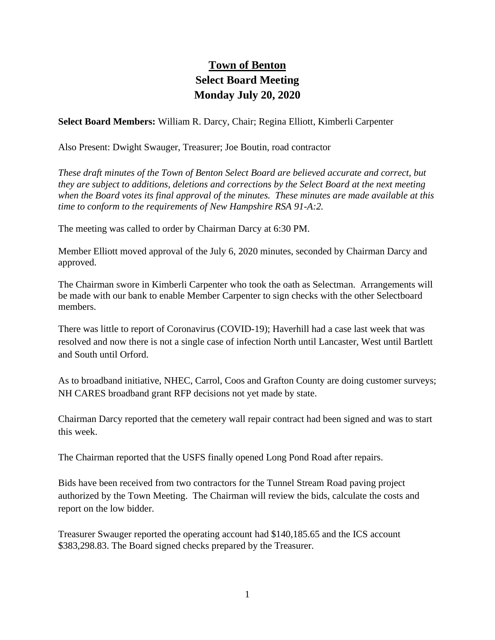## **Town of Benton Select Board Meeting Monday July 20, 2020**

**Select Board Members:** William R. Darcy, Chair; Regina Elliott, Kimberli Carpenter

Also Present: Dwight Swauger, Treasurer; Joe Boutin, road contractor

*These draft minutes of the Town of Benton Select Board are believed accurate and correct, but they are subject to additions, deletions and corrections by the Select Board at the next meeting when the Board votes its final approval of the minutes. These minutes are made available at this time to conform to the requirements of New Hampshire RSA 91-A:2.*

The meeting was called to order by Chairman Darcy at 6:30 PM.

Member Elliott moved approval of the July 6, 2020 minutes, seconded by Chairman Darcy and approved.

The Chairman swore in Kimberli Carpenter who took the oath as Selectman. Arrangements will be made with our bank to enable Member Carpenter to sign checks with the other Selectboard members.

There was little to report of Coronavirus (COVID-19); Haverhill had a case last week that was resolved and now there is not a single case of infection North until Lancaster, West until Bartlett and South until Orford.

As to broadband initiative, NHEC, Carrol, Coos and Grafton County are doing customer surveys; NH CARES broadband grant RFP decisions not yet made by state.

Chairman Darcy reported that the cemetery wall repair contract had been signed and was to start this week.

The Chairman reported that the USFS finally opened Long Pond Road after repairs.

Bids have been received from two contractors for the Tunnel Stream Road paving project authorized by the Town Meeting. The Chairman will review the bids, calculate the costs and report on the low bidder.

Treasurer Swauger reported the operating account had \$140,185.65 and the ICS account \$383,298.83. The Board signed checks prepared by the Treasurer.